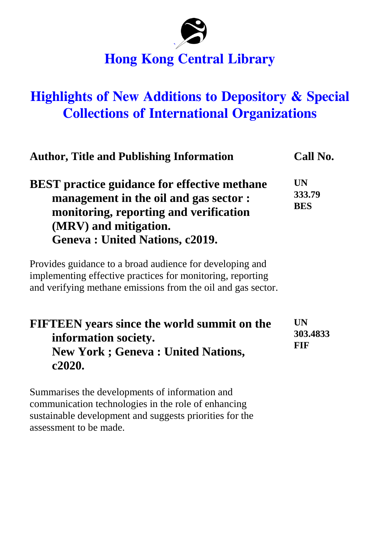

# **Hong Kong Central Library**

# **Highlights of New Additions to Depository & Special Collections of International Organizations**

| <b>Author, Title and Publishing Information</b>                                                                                                                                                                                                                                                                                                                                                     | Call No.                          |
|-----------------------------------------------------------------------------------------------------------------------------------------------------------------------------------------------------------------------------------------------------------------------------------------------------------------------------------------------------------------------------------------------------|-----------------------------------|
| <b>BEST</b> practice guidance for effective methane<br>management in the oil and gas sector :<br>monitoring, reporting and verification<br>(MRV) and mitigation.<br><b>Geneva: United Nations, c2019.</b><br>Provides guidance to a broad audience for developing and<br>implementing effective practices for monitoring, reporting<br>and verifying methane emissions from the oil and gas sector. | <b>UN</b><br>333.79<br><b>BES</b> |
|                                                                                                                                                                                                                                                                                                                                                                                                     |                                   |

Summarises the developments of information and communication technologies in the role of enhancing sustainable development and suggests priorities for the assessment to be made.